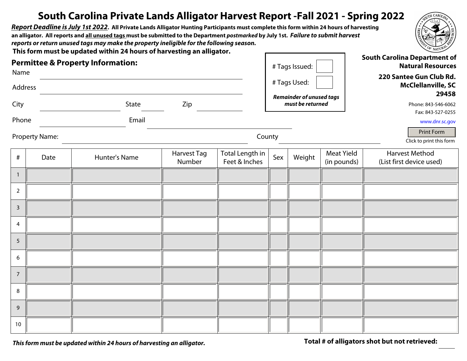## **South Carolina Private Lands Alligator Harvest Report -Fall 2021 - Spring 2022**

*Report Deadline is July 1st 2022***. All Private Lands Alligator Hunting Participants must complete this form within 24 hours of harvesting an alligator. All reports and all unused tags must be submitted to the Department** *postmarked* **by July 1st.** *Failure to submit harvest reports or return unused tags may make the property ineligible for the following season.* 

**This form must be updated within 24 hours of harvesting an alligator.**

| Name            |                       | <b>Permittee &amp; Property Information:</b> | # Tags Issued:               |                                  |                                                                              | <b>South Carolina Department of</b><br><b>Natural Resources</b> |                                                      |                                                   |  |
|-----------------|-----------------------|----------------------------------------------|------------------------------|----------------------------------|------------------------------------------------------------------------------|-----------------------------------------------------------------|------------------------------------------------------|---------------------------------------------------|--|
| Address         |                       |                                              |                              | # Tags Used:                     |                                                                              |                                                                 | 220 Santee Gun Club Rd.<br><b>McClellanville, SC</b> |                                                   |  |
| City            |                       | State                                        | Zip                          |                                  | <b>Remainder of unused tags</b><br>must be returned                          |                                                                 |                                                      | 29458<br>Phone: 843-546-6062                      |  |
| Phone           |                       | Email                                        |                              |                                  |                                                                              |                                                                 |                                                      | Fax: 843-527-0255<br>www.dnr.sc.gov               |  |
|                 | <b>Property Name:</b> |                                              |                              |                                  | Print Form<br>County<br>$\vert \textbf{r} \vert$<br>Click to print this form |                                                                 |                                                      |                                                   |  |
| $\#$            | Date                  | Hunter's Name                                | <b>Harvest Tag</b><br>Number | Total Length in<br>Feet & Inches | Sex                                                                          | Weight                                                          | <b>Meat Yield</b><br>(in pounds)                     | <b>Harvest Method</b><br>(List first device used) |  |
| $\mathbf{1}$    |                       |                                              |                              |                                  |                                                                              |                                                                 |                                                      |                                                   |  |
| $\overline{2}$  |                       |                                              |                              |                                  |                                                                              |                                                                 |                                                      |                                                   |  |
| $\mathbf{3}$    |                       |                                              |                              |                                  |                                                                              |                                                                 |                                                      |                                                   |  |
| $\overline{4}$  |                       |                                              |                              |                                  |                                                                              |                                                                 |                                                      |                                                   |  |
| $5\phantom{.0}$ |                       |                                              |                              |                                  |                                                                              |                                                                 |                                                      |                                                   |  |
| 6               |                       |                                              |                              |                                  |                                                                              |                                                                 |                                                      |                                                   |  |
| $\overline{7}$  |                       |                                              |                              |                                  |                                                                              |                                                                 |                                                      |                                                   |  |
| $\,8\,$         |                       |                                              |                              |                                  |                                                                              |                                                                 |                                                      |                                                   |  |
| 9               |                       |                                              |                              |                                  |                                                                              |                                                                 |                                                      |                                                   |  |
| 10              |                       |                                              |                              |                                  |                                                                              |                                                                 |                                                      |                                                   |  |